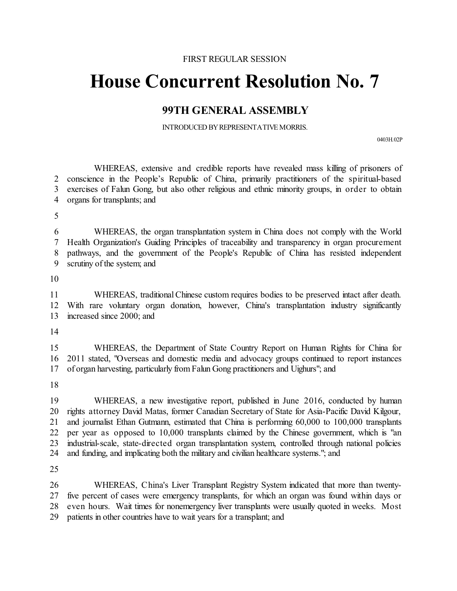## **House Concurrent Resolution No. 7**

## **99TH GENERAL ASSEMBLY**

INTRODUCED BY REPRESENTATIVE MORRIS.

0403H.02P

WHEREAS, extensive and credible reports have revealed mass killing of prisoners of conscience in the People's Republic of China, primarily practitioners of the spiritual-based exercises of Falun Gong, but also other religious and ethnic minority groups, in order to obtain organs for transplants; and

 WHEREAS, the organ transplantation system in China does not comply with the World Health Organization's Guiding Principles of traceability and transparency in organ procurement pathways, and the government of the People's Republic of China has resisted independent scrutiny of the system; and

 WHEREAS, traditionalChinese custom requires bodies to be preserved intact after death. With rare voluntary organ donation, however, China's transplantation industry significantly increased since 2000; and

 WHEREAS, the Department of State Country Report on Human Rights for China for 2011 stated, "Overseas and domestic media and advocacy groups continued to report instances of organ harvesting, particularly from Falun Gong practitioners and Uighurs"; and

 WHEREAS, a new investigative report, published in June 2016, conducted by human rights attorney David Matas, former Canadian Secretary of State for Asia-Pacific David Kilgour, and journalist Ethan Gutmann, estimated that China is performing 60,000 to 100,000 transplants per year as opposed to 10,000 transplants claimed by the Chinese government, which is "an industrial-scale, state-directed organ transplantation system, controlled through national policies and funding, and implicating both the military and civilian healthcare systems."; and

 WHEREAS, China's Liver Transplant Registry System indicated that more than twenty- five percent of cases were emergency transplants, for which an organ was found within days or even hours. Wait times for nonemergency liver transplants were usually quoted in weeks. Most patients in other countries have to wait years for a transplant; and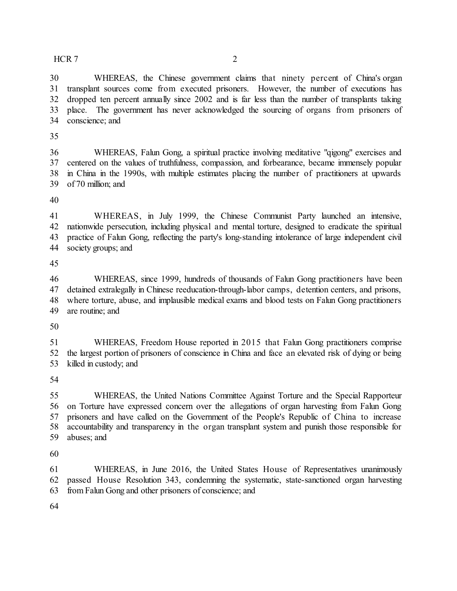## HCR 2

 WHEREAS, the Chinese government claims that ninety percent of China's organ transplant sources come from executed prisoners. However, the number of executions has dropped ten percent annually since 2002 and is far less than the number of transplants taking place. The government has never acknowledged the sourcing of organs from prisoners of conscience; and

 WHEREAS, Falun Gong, a spiritual practice involving meditative "qigong" exercises and centered on the values of truthfulness, compassion, and forbearance, became immensely popular in China in the 1990s, with multiple estimates placing the number of practitioners at upwards of 70 million; and

 WHEREAS, in July 1999, the Chinese Communist Party launched an intensive, nationwide persecution, including physical and mental torture, designed to eradicate the spiritual practice of Falun Gong, reflecting the party's long-standing intolerance of large independent civil society groups; and

 WHEREAS, since 1999, hundreds of thousands of Falun Gong practitioners have been detained extralegally in Chinese reeducation-through-labor camps, detention centers, and prisons, where torture, abuse, and implausible medical exams and blood tests on Falun Gong practitioners are routine; and

 WHEREAS, Freedom House reported in 2015 that Falun Gong practitioners comprise the largest portion of prisoners of conscience in China and face an elevated risk of dying or being killed in custody; and

 WHEREAS, the United Nations Committee Against Torture and the Special Rapporteur on Torture have expressed concern over the allegations of organ harvesting from Falun Gong prisoners and have called on the Government of the People's Republic of China to increase accountability and transparency in the organ transplant system and punish those responsible for abuses; and

 WHEREAS, in June 2016, the United States House of Representatives unanimously passed House Resolution 343, condemning the systematic, state-sanctioned organ harvesting from Falun Gong and other prisoners of conscience; and